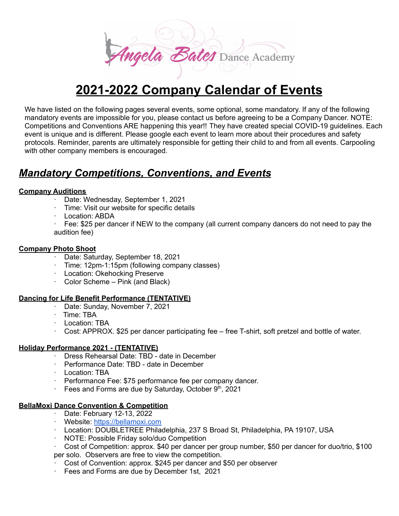

We have listed on the following pages several events, some optional, some mandatory. If any of the following mandatory events are impossible for you, please contact us before agreeing to be a Company Dancer. NOTE: Competitions and Conventions ARE happening this year!! They have created special COVID-19 guidelines. Each event is unique and is different. Please google each event to learn more about their procedures and safety protocols. Reminder, parents are ultimately responsible for getting their child to and from all events. Carpooling with other company members is encouraged.

# *Mandatory Competitions, Conventions, and Events*

#### **Company Auditions**

- · Date: Wednesday, September 1, 2021
- · Time: Visit our website for specific details
- · Location: ABDA

· Fee: \$25 per dancer if NEW to the company (all current company dancers do not need to pay the audition fee)

#### **Company Photo Shoot**

- · Date: Saturday, September 18, 2021
- Time: 12pm-1:15pm (following company classes)
- · Location: Okehocking Preserve
- · Color Scheme Pink (and Black)

#### **Dancing for Life Benefit Performance (TENTATIVE)**

- · Date: Sunday, November 7, 2021
- · Time: TBA
- · Location: TBA
- · Cost: APPROX. \$25 per dancer participating fee free T-shirt, soft pretzel and bottle of water.

#### **Holiday Performance 2021 - (TENTATIVE)**

- · Dress Rehearsal Date: TBD date in December
- · Performance Date: TBD date in December
- · Location: TBA
- · Performance Fee: \$75 performance fee per company dancer.
- Fees and Forms are due by Saturday, October  $9<sup>th</sup>$ , 2021

#### **BellaMoxi Dance Convention & Competition**

- · Date: February 12-13, 2022
- · Website: [https://bellamoxi.com](https://bellamoxi.com/)
- · Location: DOUBLETREE Philadelphia, 237 S Broad St, Philadelphia, PA 19107, USA
- · NOTE: Possible Friday solo/duo Competition
- · Cost of Competition: approx. \$40 per dancer per group number, \$50 per dancer for duo/trio, \$100 per solo. Observers are free to view the competition.
- · Cost of Convention: approx. \$245 per dancer and \$50 per observer
- Fees and Forms are due by December 1st, 2021